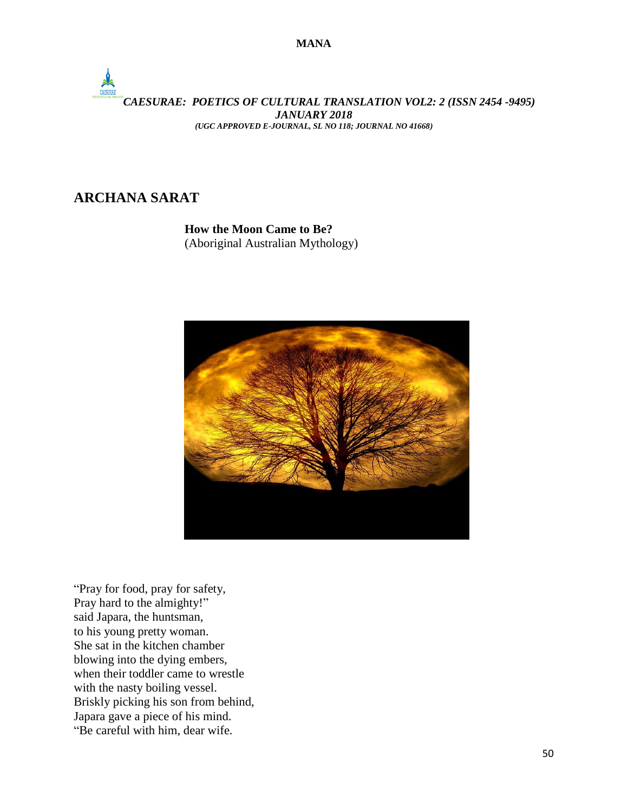

**ARCHANA SARAT**

**How the Moon Came to Be?** (Aboriginal Australian Mythology)



"Pray for food, pray for safety, Pray hard to the almighty!" said Japara, the huntsman, to his young pretty woman. She sat in the kitchen chamber blowing into the dying embers, when their toddler came to wrestle with the nasty boiling vessel. Briskly picking his son from behind, Japara gave a piece of his mind. "Be careful with him, dear wife.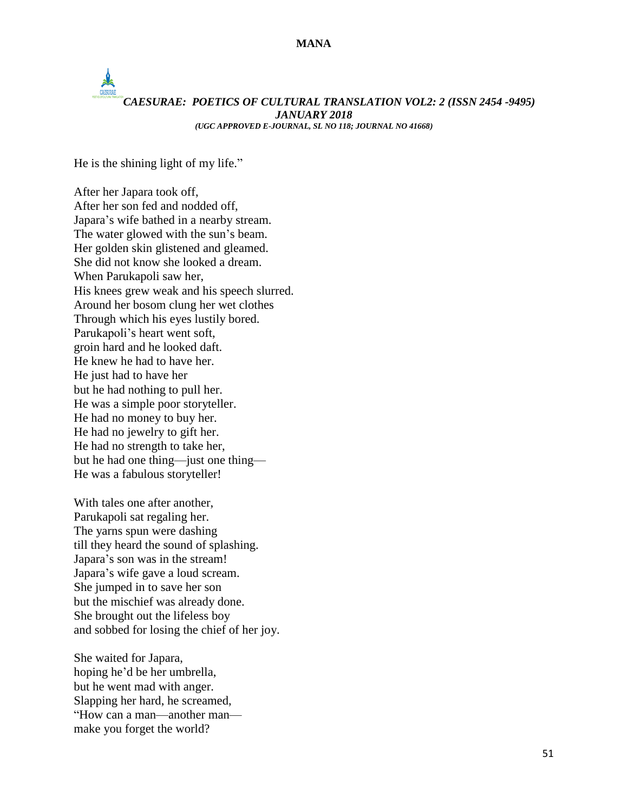# $\frac{1}{2}$ *CAESURAE: POETICS OF CULTURAL TRANSLATION VOL2: 2 (ISSN 2454 -9495) JANUARY 2018 (UGC APPROVED E-JOURNAL, SL NO 118; JOURNAL NO 41668)*

He is the shining light of my life."

After her Japara took off, After her son fed and nodded off, Japara's wife bathed in a nearby stream. The water glowed with the sun's beam. Her golden skin glistened and gleamed. She did not know she looked a dream. When Parukapoli saw her, His knees grew weak and his speech slurred. Around her bosom clung her wet clothes Through which his eyes lustily bored. Parukapoli's heart went soft, groin hard and he looked daft. He knew he had to have her. He just had to have her but he had nothing to pull her. He was a simple poor storyteller. He had no money to buy her. He had no jewelry to gift her. He had no strength to take her, but he had one thing—just one thing— He was a fabulous storyteller!

With tales one after another, Parukapoli sat regaling her. The yarns spun were dashing till they heard the sound of splashing. Japara's son was in the stream! Japara's wife gave a loud scream. She jumped in to save her son but the mischief was already done. She brought out the lifeless boy and sobbed for losing the chief of her joy.

She waited for Japara, hoping he'd be her umbrella, but he went mad with anger. Slapping her hard, he screamed, "How can a man—another man make you forget the world?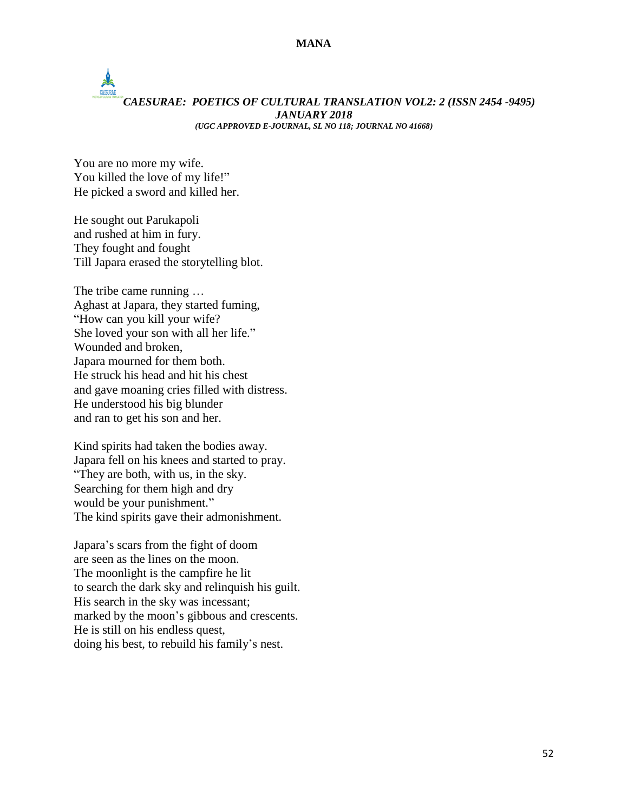# $\frac{1}{2}$ *CAESURAE: POETICS OF CULTURAL TRANSLATION VOL2: 2 (ISSN 2454 -9495) JANUARY 2018 (UGC APPROVED E-JOURNAL, SL NO 118; JOURNAL NO 41668)*

You are no more my wife. You killed the love of my life!" He picked a sword and killed her.

He sought out Parukapoli and rushed at him in fury. They fought and fought Till Japara erased the storytelling blot.

The tribe came running … Aghast at Japara, they started fuming, "How can you kill your wife? She loved your son with all her life." Wounded and broken, Japara mourned for them both. He struck his head and hit his chest and gave moaning cries filled with distress. He understood his big blunder and ran to get his son and her.

Kind spirits had taken the bodies away. Japara fell on his knees and started to pray. "They are both, with us, in the sky. Searching for them high and dry would be your punishment." The kind spirits gave their admonishment.

Japara's scars from the fight of doom are seen as the lines on the moon. The moonlight is the campfire he lit to search the dark sky and relinquish his guilt. His search in the sky was incessant; marked by the moon's gibbous and crescents. He is still on his endless quest, doing his best, to rebuild his family's nest.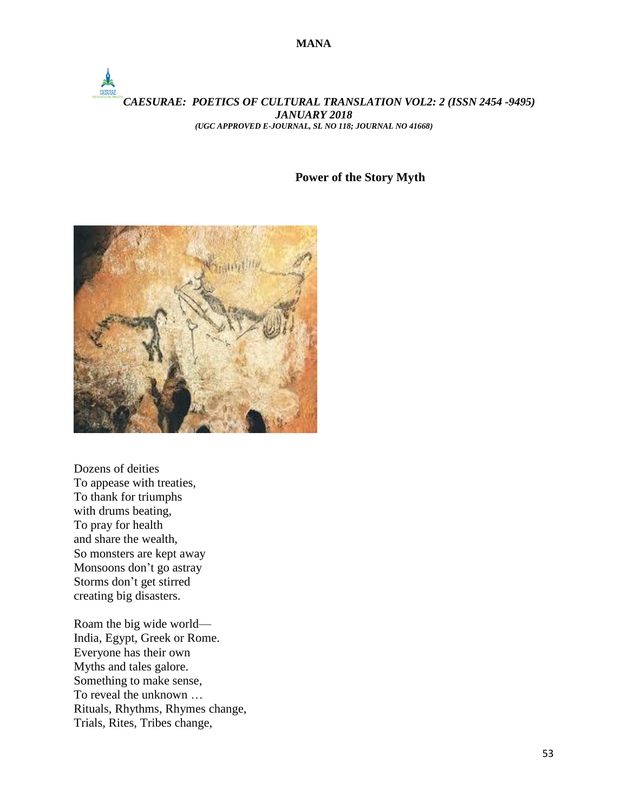## *CAESURAE: POETICS OF CULTURAL TRANSLATION VOL2: 2 (ISSN 2454 -9495) JANUARY 2018 (UGC APPROVED E-JOURNAL, SL NO 118; JOURNAL NO 41668)*

### **Power of the Story Myth**



Dozens of deities To appease with treaties, To thank for triumphs with drums beating, To pray for health and share the wealth, So monsters are kept away Monsoons don't go astray Storms don't get stirred creating big disasters.

Roam the big wide world— India, Egypt, Greek or Rome. Everyone has their own Myths and tales galore. Something to make sense, To reveal the unknown … Rituals, Rhythms, Rhymes change, Trials, Rites, Tribes change,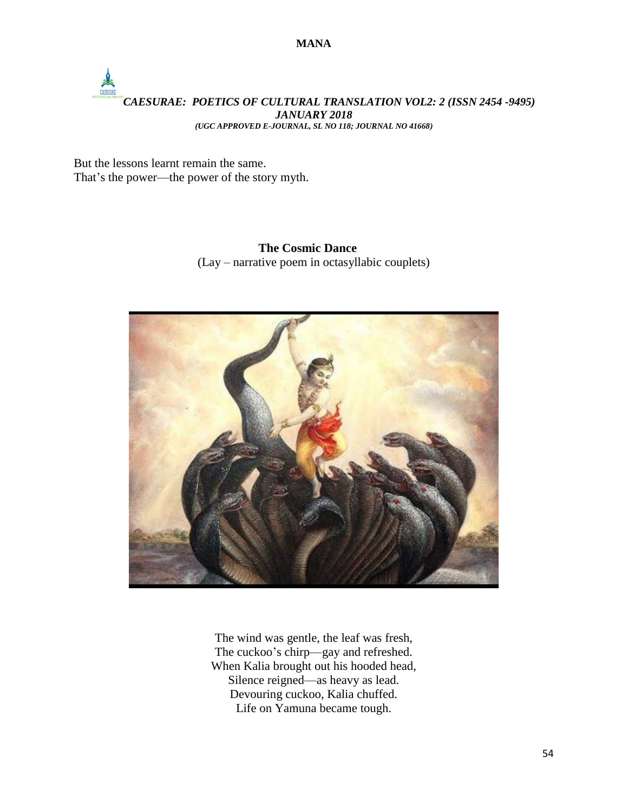**MANA**

# *CAESURAE: POETICS OF CULTURAL TRANSLATION VOL2: 2 (ISSN 2454 -9495) JANUARY 2018 (UGC APPROVED E-JOURNAL, SL NO 118; JOURNAL NO 41668)*

But the lessons learnt remain the same. That's the power—the power of the story myth.

> **The Cosmic Dance** (Lay – narrative poem in octasyllabic couplets)



The wind was gentle, the leaf was fresh, The cuckoo's chirp—gay and refreshed. When Kalia brought out his hooded head, Silence reigned—as heavy as lead. Devouring cuckoo, Kalia chuffed. Life on Yamuna became tough.